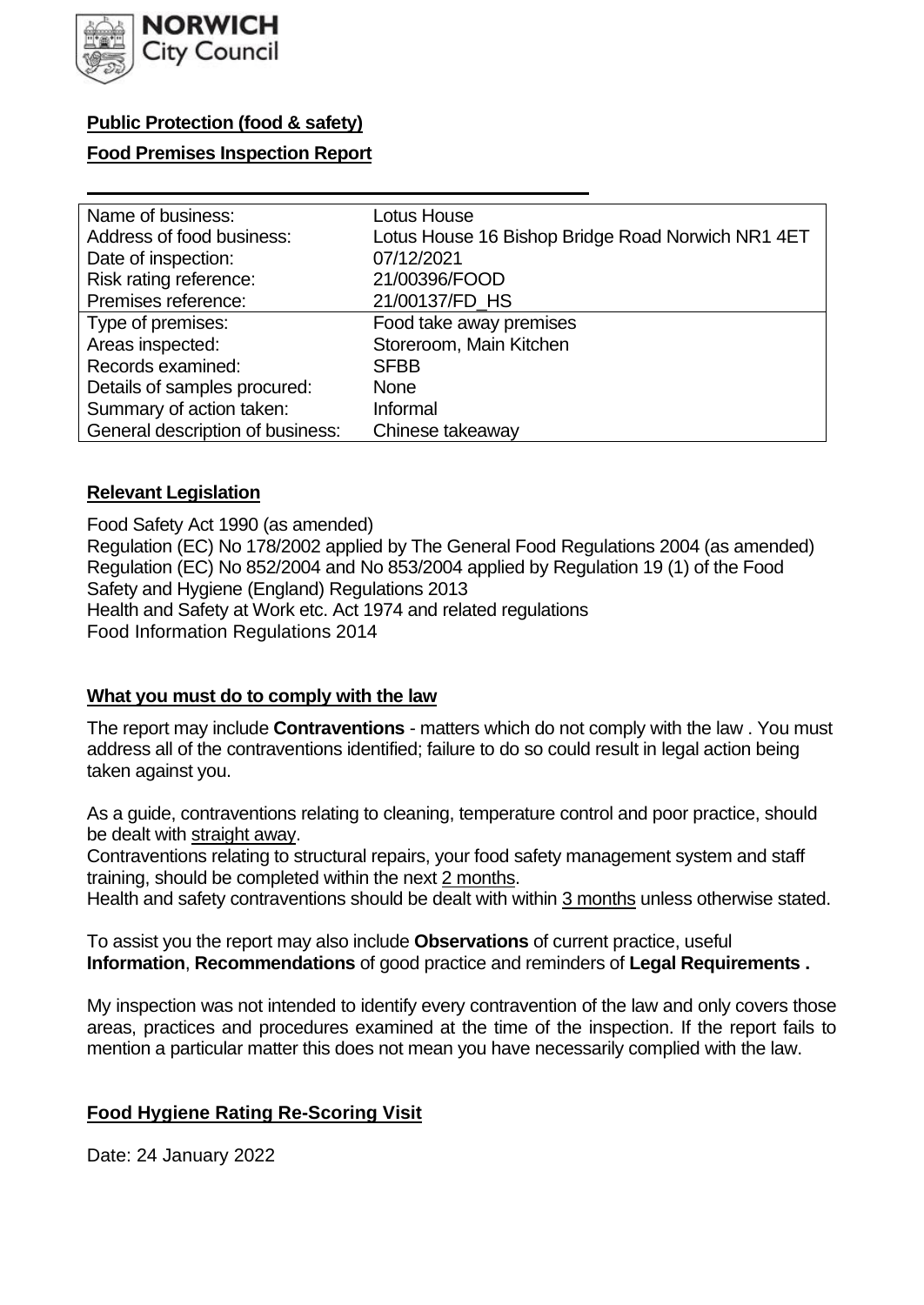

## **Public Protection (food & safety)**

## **Food Premises Inspection Report**

| Name of business:                | Lotus House                                       |
|----------------------------------|---------------------------------------------------|
| Address of food business:        | Lotus House 16 Bishop Bridge Road Norwich NR1 4ET |
| Date of inspection:              | 07/12/2021                                        |
| Risk rating reference:           | 21/00396/FOOD                                     |
| Premises reference:              | 21/00137/FD HS                                    |
| Type of premises:                | Food take away premises                           |
| Areas inspected:                 | Storeroom, Main Kitchen                           |
| Records examined:                | <b>SFBB</b>                                       |
| Details of samples procured:     | <b>None</b>                                       |
| Summary of action taken:         | Informal                                          |
| General description of business: | Chinese takeaway                                  |

### **Relevant Legislation**

 Food Safety Act 1990 (as amended) Regulation (EC) No 178/2002 applied by The General Food Regulations 2004 (as amended) Regulation (EC) No 852/2004 and No 853/2004 applied by Regulation 19 (1) of the Food Safety and Hygiene (England) Regulations 2013 Health and Safety at Work etc. Act 1974 and related regulations Food Information Regulations 2014

#### **What you must do to comply with the law**

 The report may include **Contraventions** - matters which do not comply with the law . You must address all of the contraventions identified; failure to do so could result in legal action being taken against you.

 As a guide, contraventions relating to cleaning, temperature control and poor practice, should be dealt with straight away.

 Contraventions relating to structural repairs, your food safety management system and staff training, should be completed within the next 2 months.

Health and safety contraventions should be dealt with within 3 months unless otherwise stated.

 To assist you the report may also include **Observations** of current practice, useful **Information**, **Recommendations** of good practice and reminders of **Legal Requirements .** 

 My inspection was not intended to identify every contravention of the law and only covers those areas, practices and procedures examined at the time of the inspection. If the report fails to mention a particular matter this does not mean you have necessarily complied with the law.

## **Food Hygiene Rating Re-Scoring Visit**

Date: 24 January 2022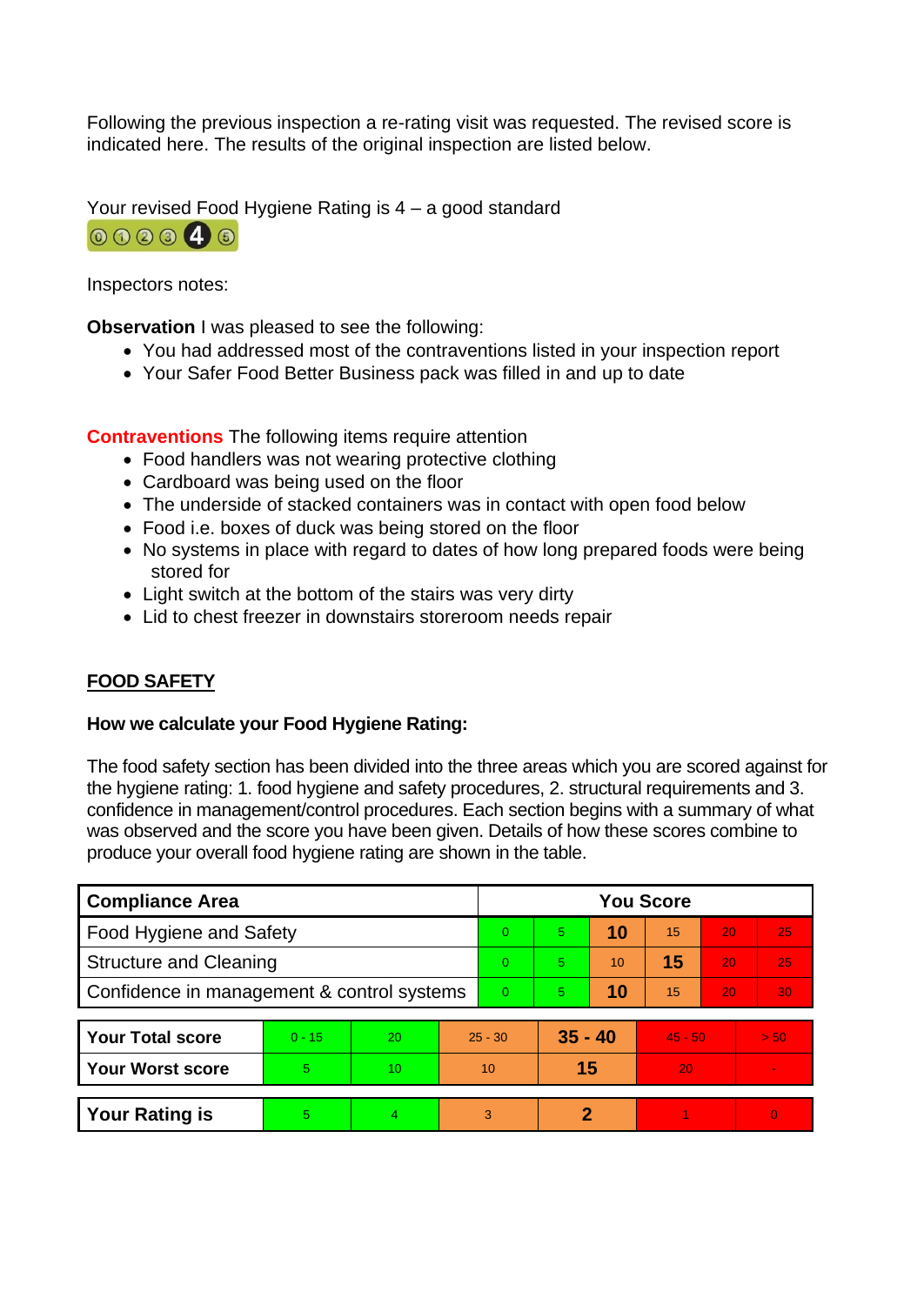Following the previous inspection a re-rating visit was requested. The revised score is indicated here. The results of the original inspection are listed below.

Your revised Food Hygiene Rating is 4 – a good standard



Inspectors notes:

**Observation** I was pleased to see the following:

- You had addressed most of the contraventions listed in your inspection report
- Your Safer Food Better Business pack was filled in and up to date

**Contraventions** The following items require attention

- Food handlers was not wearing protective clothing
- Cardboard was being used on the floor
- The underside of stacked containers was in contact with open food below
- Food i.e. boxes of duck was being stored on the floor
- No systems in place with regard to dates of how long prepared foods were being stored for
- Light switch at the bottom of the stairs was very dirty
- Lid to chest freezer in downstairs storeroom needs repair

# **FOOD SAFETY**

### **How we calculate your Food Hygiene Rating:**

 The food safety section has been divided into the three areas which you are scored against for the hygiene rating: 1. food hygiene and safety procedures, 2. structural requirements and 3. confidence in management/control procedures. Each section begins with a summary of what was observed and the score you have been given. Details of how these scores combine to produce your overall food hygiene rating are shown in the table.

| <b>Compliance Area</b>                     |          |                 |                | <b>You Score</b>       |    |           |    |    |          |  |  |
|--------------------------------------------|----------|-----------------|----------------|------------------------|----|-----------|----|----|----------|--|--|
| Food Hygiene and Safety                    |          |                 | $\Omega$       | 5.                     | 10 | 15        | 20 | 25 |          |  |  |
| <b>Structure and Cleaning</b>              |          |                 | $\Omega$       | 5.                     | 10 | 15        | 20 | 25 |          |  |  |
| Confidence in management & control systems |          |                 | $\overline{0}$ | 5.                     | 10 | 15        | 20 | 30 |          |  |  |
|                                            |          |                 |                |                        |    |           |    |    |          |  |  |
| <b>Your Total score</b>                    | $0 - 15$ | 20              |                | $35 - 40$<br>$25 - 30$ |    | $45 - 50$ |    |    | > 50     |  |  |
| <b>Your Worst score</b>                    | 5        | 10 <sup>°</sup> |                | 10                     | 15 |           | 20 |    | ÷.       |  |  |
|                                            |          |                 |                |                        |    |           |    |    |          |  |  |
| <b>Your Rating is</b>                      | 5        | 4               |                | 3                      | 2  |           |    |    | $\Omega$ |  |  |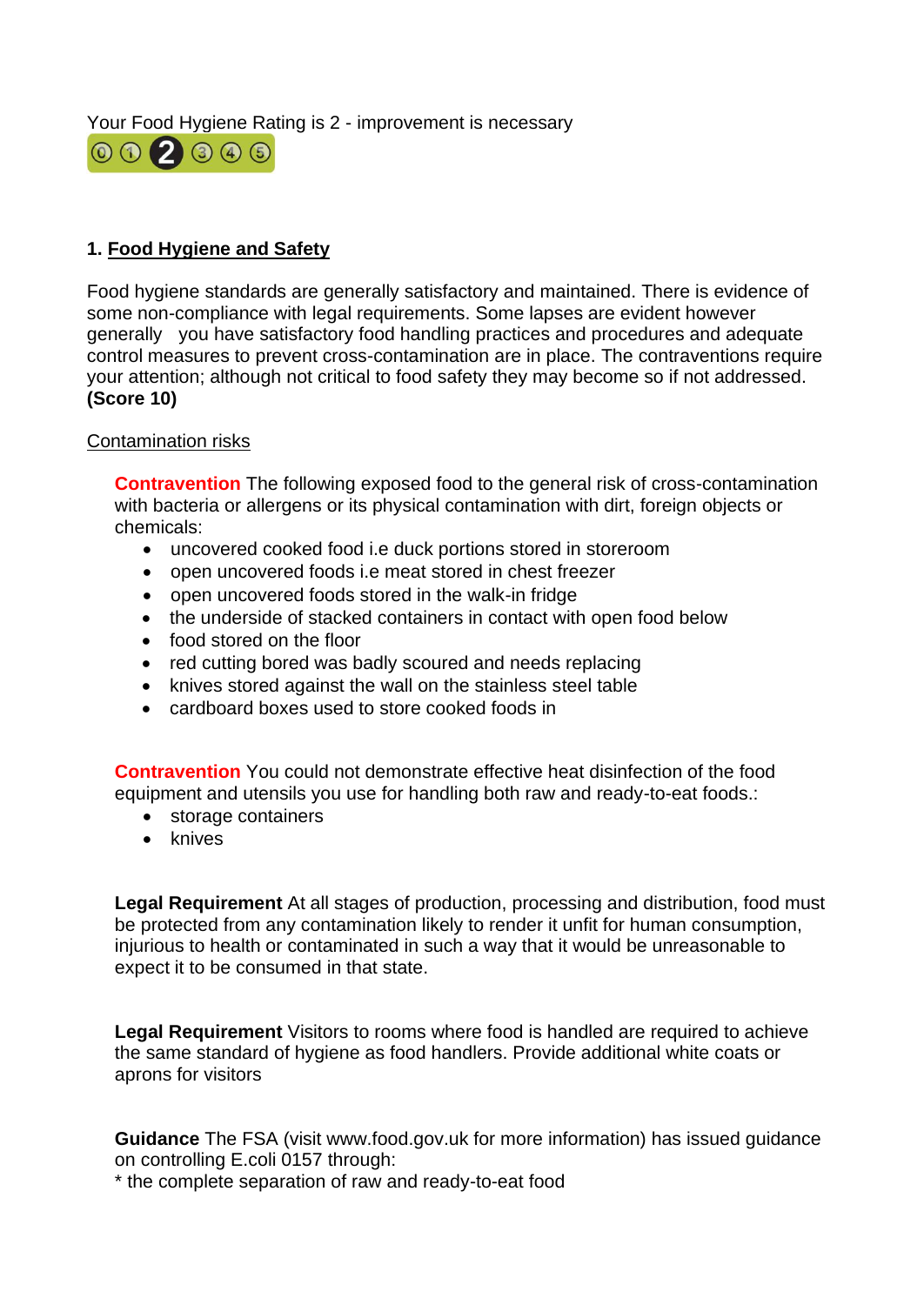Your Food Hygiene Rating is 2 - improvement is necessary



## **1. Food Hygiene and Safety**

 generally you have satisfactory food handling practices and procedures and adequate Food hygiene standards are generally satisfactory and maintained. There is evidence of some non-compliance with legal requirements. Some lapses are evident however control measures to prevent cross-contamination are in place. The contraventions require your attention; although not critical to food safety they may become so if not addressed. **(Score 10)** 

### Contamination risks

 **Contravention** The following exposed food to the general risk of cross-contamination with bacteria or allergens or its physical contamination with dirt, foreign objects or chemicals:

- uncovered cooked food i.e duck portions stored in storeroom
- open uncovered foods i.e meat stored in chest freezer
- open uncovered foods stored in the walk-in fridge
- the underside of stacked containers in contact with open food below
- food stored on the floor
- red cutting bored was badly scoured and needs replacing
- knives stored against the wall on the stainless steel table
- cardboard boxes used to store cooked foods in

**Contravention** You could not demonstrate effective heat disinfection of the food equipment and utensils you use for handling both raw and ready-to-eat foods.:

- storage containers
- knives

 injurious to health or contaminated in such a way that it would be unreasonable to **Legal Requirement** At all stages of production, processing and distribution, food must be protected from any contamination likely to render it unfit for human consumption, expect it to be consumed in that state.

**Legal Requirement** Visitors to rooms where food is handled are required to achieve the same standard of hygiene as food handlers. Provide additional white coats or aprons for visitors

 **Guidance** The FSA (visit <www.food.gov.uk> for more information) has issued guidance on controlling E.coli 0157 through:

\* the complete separation of raw and ready-to-eat food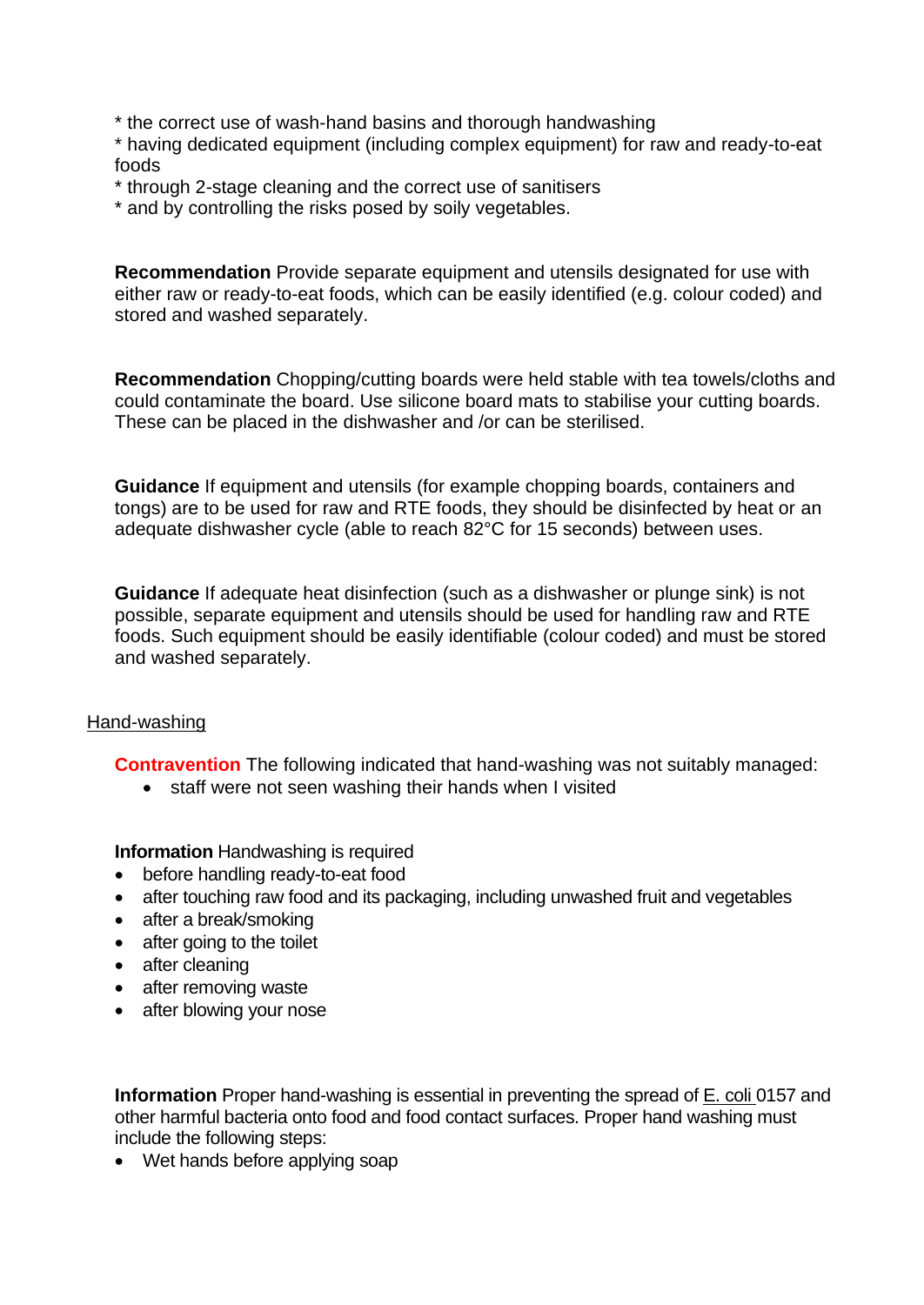\* the correct use of wash-hand basins and thorough handwashing

\* having dedicated equipment (including complex equipment) for raw and ready-to-eat foods

\* through 2-stage cleaning and the correct use of sanitisers

\* and by controlling the risks posed by soily vegetables.

**Recommendation** Provide separate equipment and utensils designated for use with either raw or ready-to-eat foods, which can be easily identified (e.g. colour coded) and stored and washed separately.

 These can be placed in the dishwasher and /or can be sterilised. **Recommendation** Chopping/cutting boards were held stable with tea towels/cloths and could contaminate the board. Use silicone board mats to stabilise your cutting boards.

**Guidance** If equipment and utensils (for example chopping boards, containers and tongs) are to be used for raw and RTE foods, they should be disinfected by heat or an adequate dishwasher cycle (able to reach 82°C for 15 seconds) between uses.

 **Guidance** If adequate heat disinfection (such as a dishwasher or plunge sink) is not possible, separate equipment and utensils should be used for handling raw and RTE foods. Such equipment should be easily identifiable (colour coded) and must be stored and washed separately.

### Hand-washing

**Contravention** The following indicated that hand-washing was not suitably managed:

• staff were not seen washing their hands when I visited

**Information** Handwashing is required

- before handling ready-to-eat food
- after touching raw food and its packaging, including unwashed fruit and vegetables
- after a break/smoking
- after going to the toilet
- after cleaning
- after removing waste
- after blowing your nose

 **Information** Proper hand-washing is essential in preventing the spread of E. coli 0157 and other harmful bacteria onto food and food contact surfaces. Proper hand washing must include the following steps:

• Wet hands before applying soap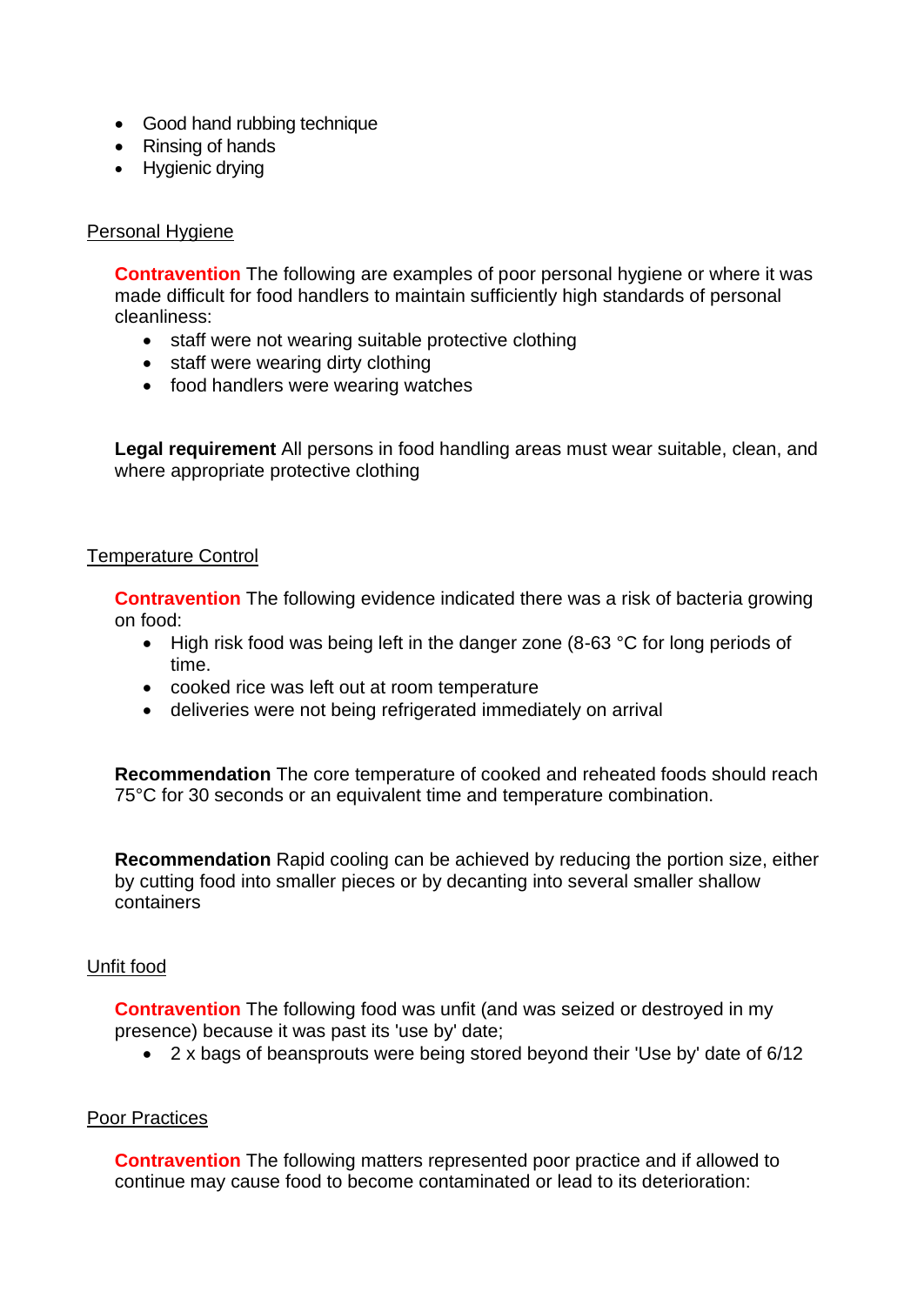- Good hand rubbing technique
- Rinsing of hands
- Hygienic drying

#### Personal Hygiene

 made difficult for food handlers to maintain sufficiently high standards of personal **Contravention** The following are examples of poor personal hygiene or where it was cleanliness:

- staff were not wearing suitable protective clothing
- staff were wearing dirty clothing
- food handlers were wearing watches

**Legal requirement** All persons in food handling areas must wear suitable, clean, and where appropriate protective clothing

#### Temperature Control

**Contravention** The following evidence indicated there was a risk of bacteria growing on food:

- High risk food was being left in the danger zone (8-63 °C for long periods of time.
- cooked rice was left out at room temperature
- deliveries were not being refrigerated immediately on arrival

**Recommendation** The core temperature of cooked and reheated foods should reach 75°C for 30 seconds or an equivalent time and temperature combination.

**Recommendation** Rapid cooling can be achieved by reducing the portion size, either by cutting food into smaller pieces or by decanting into several smaller shallow containers

### Unfit food

**Contravention** The following food was unfit (and was seized or destroyed in my presence) because it was past its 'use by' date;

• 2 x bags of beansprouts were being stored beyond their 'Use by' date of 6/12

### Poor Practices

 **Contravention** The following matters represented poor practice and if allowed to continue may cause food to become contaminated or lead to its deterioration: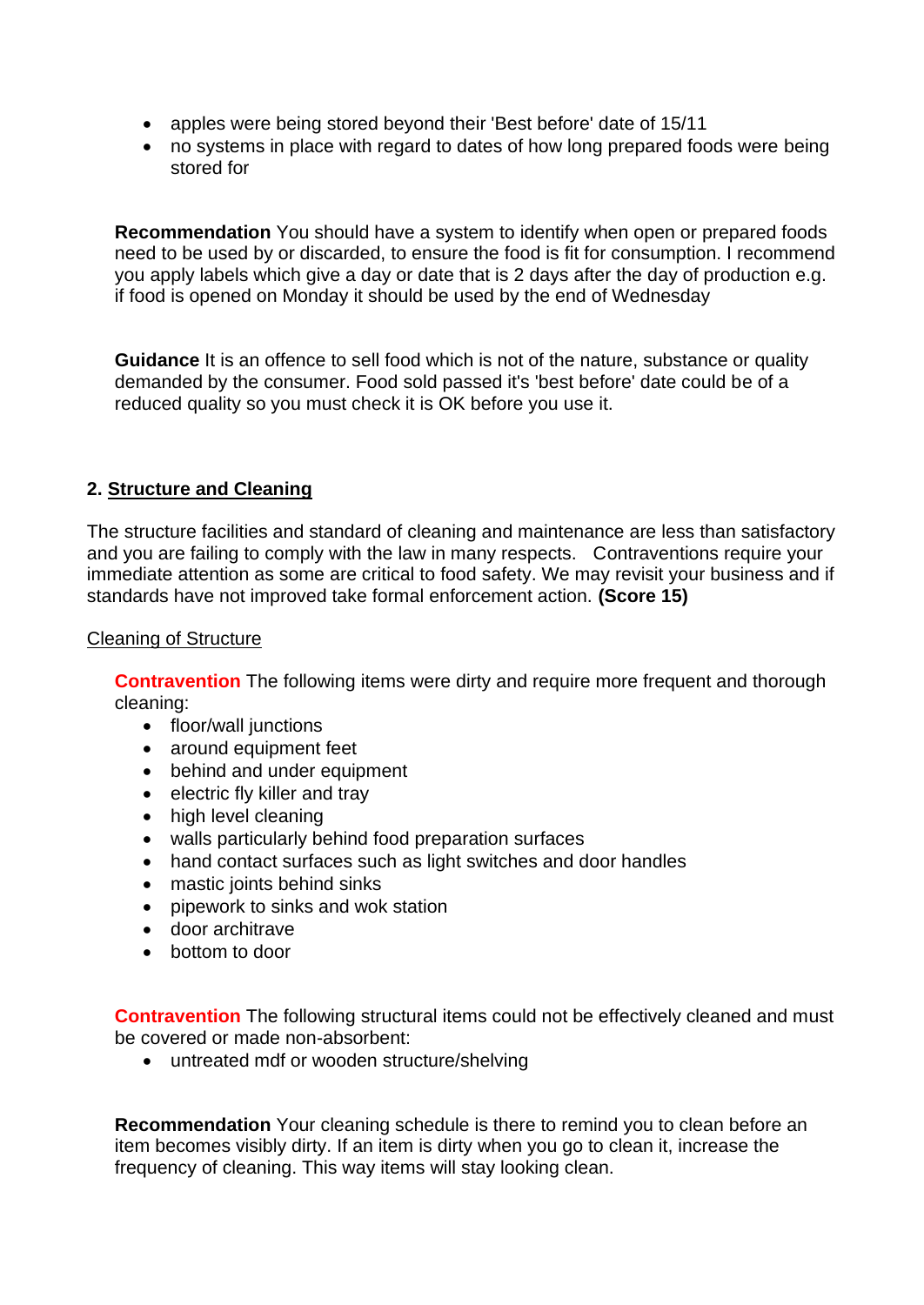- apples were being stored beyond their 'Best before' date of 15/11
- no systems in place with regard to dates of how long prepared foods were being stored for

 you apply labels which give a day or date that is 2 days after the day of production e.g. **Recommendation** You should have a system to identify when open or prepared foods need to be used by or discarded, to ensure the food is fit for consumption. I recommend if food is opened on Monday it should be used by the end of Wednesday

**Guidance** It is an offence to sell food which is not of the nature, substance or quality demanded by the consumer. Food sold passed it's 'best before' date could be of a reduced quality so you must check it is OK before you use it.

## **2. Structure and Cleaning**

 and you are failing to comply with the law in many respects. Contraventions require your The structure facilities and standard of cleaning and maintenance are less than satisfactory immediate attention as some are critical to food safety. We may revisit your business and if standards have not improved take formal enforcement action. **(Score 15)** 

### Cleaning of Structure

**Contravention** The following items were dirty and require more frequent and thorough cleaning:

- floor/wall junctions
- around equipment feet
- behind and under equipment
- electric fly killer and tray
- high level cleaning
- walls particularly behind food preparation surfaces
- hand contact surfaces such as light switches and door handles
- mastic joints behind sinks
- pipework to sinks and wok station
- door architrave
- bottom to door

**Contravention** The following structural items could not be effectively cleaned and must be covered or made non-absorbent:

• untreated mdf or wooden structure/shelving

 **Recommendation** Your cleaning schedule is there to remind you to clean before an item becomes visibly dirty. If an item is dirty when you go to clean it, increase the frequency of cleaning. This way items will stay looking clean.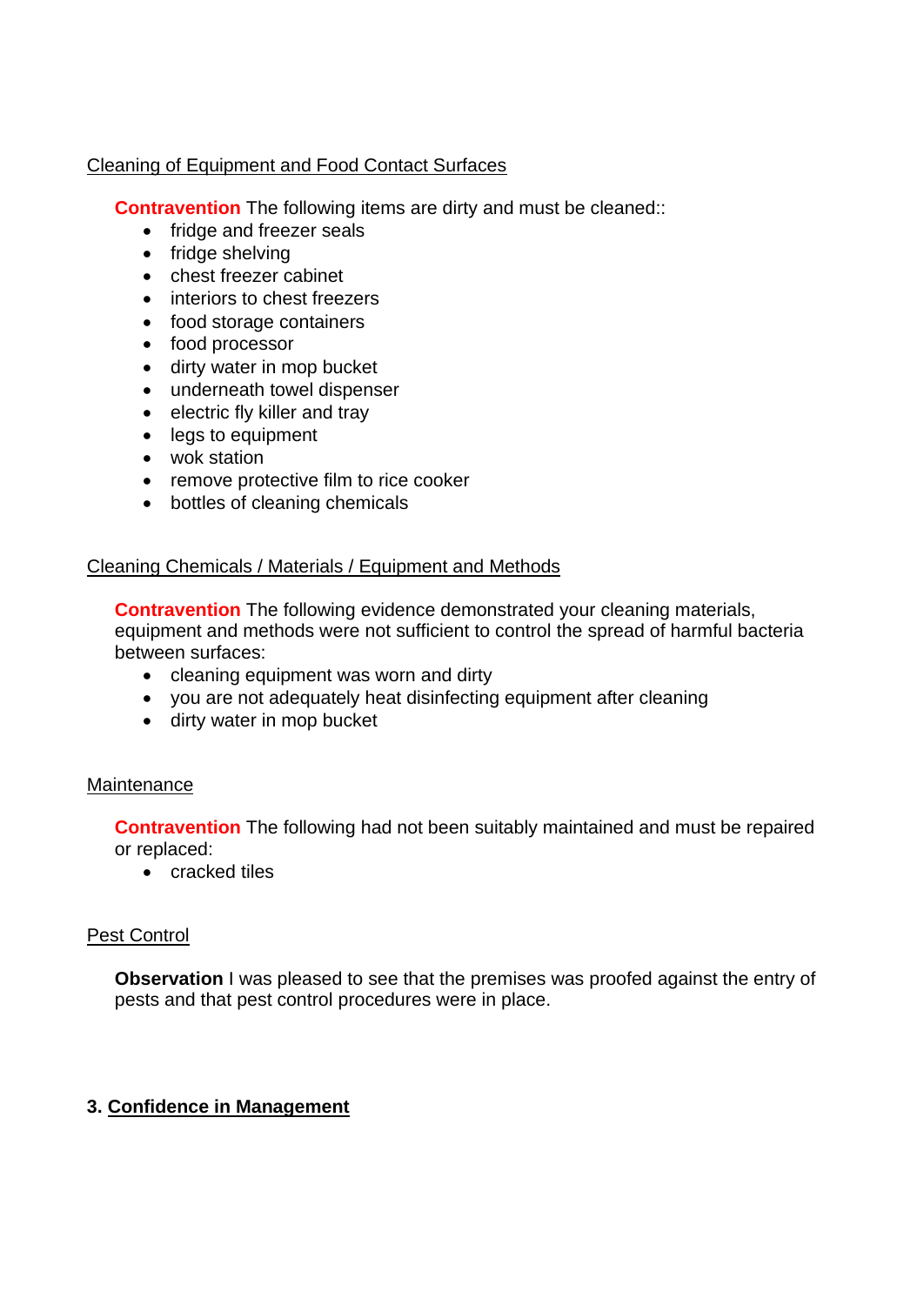## Cleaning of Equipment and Food Contact Surfaces

**Contravention** The following items are dirty and must be cleaned::

- fridge and freezer seals
- fridge shelving
- chest freezer cabinet
- interiors to chest freezers
- food storage containers
- food processor
- dirty water in mop bucket
- underneath towel dispenser
- electric fly killer and tray
- legs to equipment
- wok station
- remove protective film to rice cooker
- bottles of cleaning chemicals

## Cleaning Chemicals / Materials / Equipment and Methods

**Contravention** The following evidence demonstrated your cleaning materials, equipment and methods were not sufficient to control the spread of harmful bacteria between surfaces:

- cleaning equipment was worn and dirty
- you are not adequately heat disinfecting equipment after cleaning
- dirty water in mop bucket

### **Maintenance**

**Contravention** The following had not been suitably maintained and must be repaired or replaced:

• cracked tiles

### Pest Control

**Observation** I was pleased to see that the premises was proofed against the entry of pests and that pest control procedures were in place.

## **3. Confidence in Management**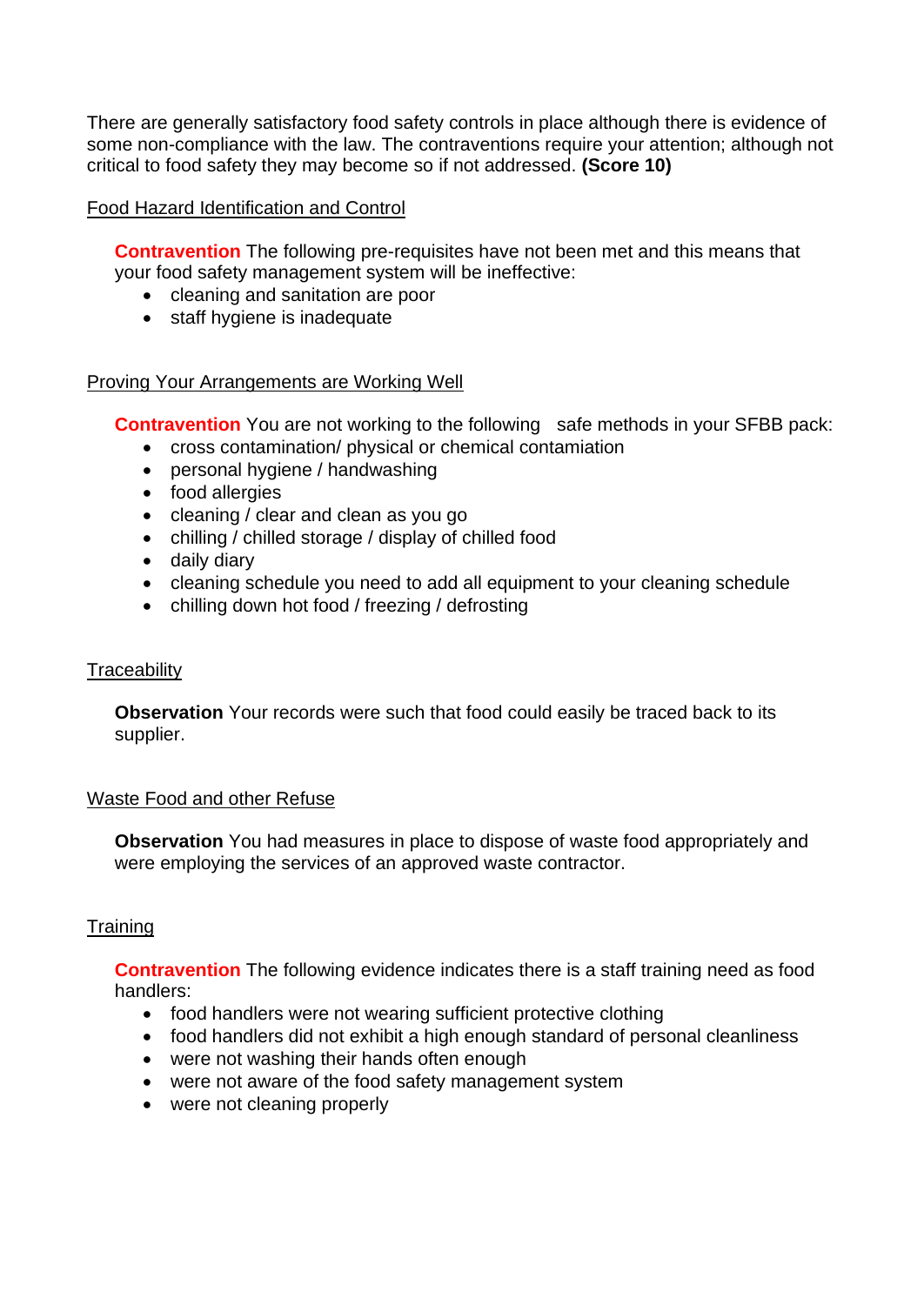There are generally satisfactory food safety controls in place although there is evidence of some non-compliance with the law. The contraventions require your attention; although not critical to food safety they may become so if not addressed. **(Score 10)** 

#### Food Hazard Identification and Control

**Contravention** The following pre-requisites have not been met and this means that your food safety management system will be ineffective:

- cleaning and sanitation are poor
- staff hygiene is inadequate

#### Proving Your Arrangements are Working Well

**Contravention** You are not working to the following safe methods in your SFBB pack:

- cross contamination/ physical or chemical contamiation
- personal hygiene / handwashing
- food allergies
- cleaning / clear and clean as you go
- chilling / chilled storage / display of chilled food
- daily diary
- cleaning schedule you need to add all equipment to your cleaning schedule
- chilling down hot food / freezing / defrosting

#### **Traceability**

**Observation** Your records were such that food could easily be traced back to its supplier.

#### Waste Food and other Refuse

 **Observation** You had measures in place to dispose of waste food appropriately and were employing the services of an approved waste contractor.

### **Training**

 **Contravention** The following evidence indicates there is a staff training need as food handlers:

- food handlers were not wearing sufficient protective clothing
- food handlers did not exhibit a high enough standard of personal cleanliness
- were not washing their hands often enough
- were not aware of the food safety management system
- were not cleaning properly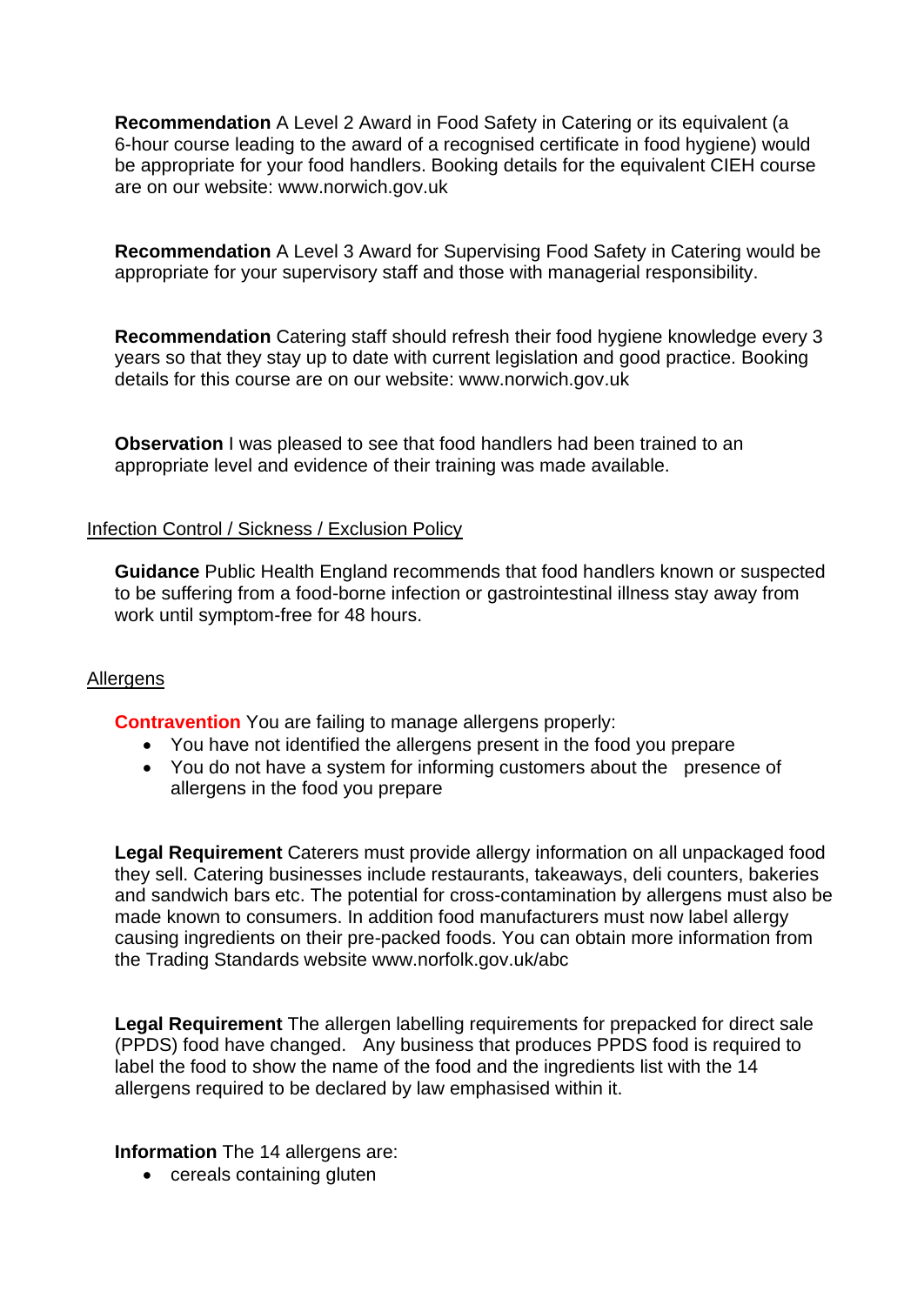**Recommendation** A Level 2 Award in Food Safety in Catering or its equivalent (a 6-hour course leading to the award of a recognised certificate in food hygiene) would be appropriate for your food handlers. Booking details for the equivalent CIEH course are on our website:<www.norwich.gov.uk>

**Recommendation** A Level 3 Award for Supervising Food Safety in Catering would be appropriate for your supervisory staff and those with managerial responsibility.

**Recommendation** Catering staff should refresh their food hygiene knowledge every 3 years so that they stay up to date with current legislation and good practice. Booking details for this course are on our website:<www.norwich.gov.uk>

**Observation** I was pleased to see that food handlers had been trained to an appropriate level and evidence of their training was made available.

#### Infection Control / Sickness / Exclusion Policy

**Guidance** Public Health England recommends that food handlers known or suspected to be suffering from a food-borne infection or gastrointestinal illness stay away from work until symptom-free for 48 hours.

#### **Allergens**

**Contravention** You are failing to manage allergens properly:

- You have not identified the allergens present in the food you prepare
- • You do not have a system for informing customers about the presence of allergens in the food you prepare

 **Legal Requirement** Caterers must provide allergy information on all unpackaged food they sell. Catering businesses include restaurants, takeaways, deli counters, bakeries causing ingredients on their pre-packed foods. You can obtain more information from the Trading Standards website<www.norfolk.gov.uk/abc> and sandwich bars etc. The potential for cross-contamination by allergens must also be made known to consumers. In addition food manufacturers must now label allergy

 label the food to show the name of the food and the ingredients list with the 14 **Legal Requirement** The allergen labelling requirements for prepacked for direct sale (PPDS) food have changed. Any business that produces PPDS food is required to allergens required to be declared by law emphasised within it.

#### **Information** The 14 allergens are:

• cereals containing gluten